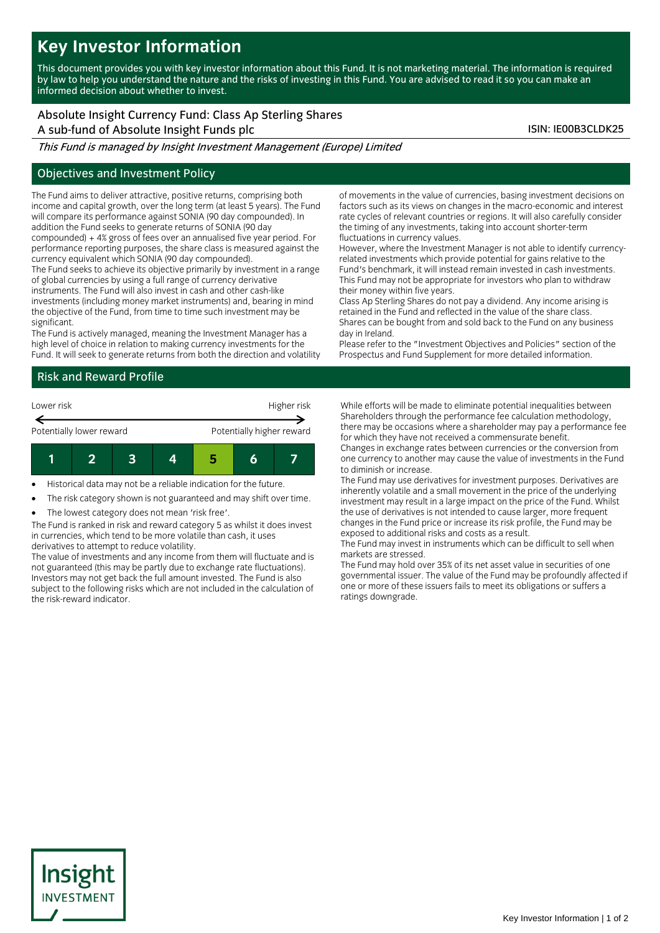## **Key Investor Information**

This document provides you with key investor information about this Fund. It is not marketing material. The information is required by law to help you understand the nature and the risks of investing in this Fund. You are advised to read it so you can make an informed decision about whether to invest.

# Absolute Insight Currency Fund: Class Ap Sterling Shares

A sub-fund of Absolute Insight Funds plc ISIN: IE00B3CLDK25

This Fund is managed by Insight Investment Management (Europe) Limited

### Objectives and Investment Policy

The Fund aims to deliver attractive, positive returns, comprising both income and capital growth, over the long term (at least 5 years). The Fund will compare its performance against SONIA (90 day compounded). In addition the Fund seeks to generate returns of SONIA (90 day compounded) + 4% gross of fees over an annualised five year period. For

performance reporting purposes, the share class is measured against the currency equivalent which SONIA (90 day compounded).

The Fund seeks to achieve its objective primarily by investment in a range of global currencies by using a full range of currency derivative

instruments. The Fund will also invest in cash and other cash-like investments (including money market instruments) and, bearing in mind the objective of the Fund, from time to time such investment may be significant.

The Fund is actively managed, meaning the Investment Manager has a high level of choice in relation to making currency investments for the Fund. It will seek to generate returns from both the direction and volatility

### Risk and Reward Profile



Historical data may not be a reliable indication for the future.

The risk category shown is not guaranteed and may shift over time.

The lowest category does not mean 'risk free'.

The Fund is ranked in risk and reward category 5 as whilst it does invest in currencies, which tend to be more volatile than cash, it uses derivatives to attempt to reduce volatility.

The value of investments and any income from them will fluctuate and is not guaranteed (this may be partly due to exchange rate fluctuations). Investors may not get back the full amount invested. The Fund is also subject to the following risks which are not included in the calculation of the risk-reward indicator.

of movements in the value of currencies, basing investment decisions on factors such as its views on changes in the macro-economic and interest rate cycles of relevant countries or regions. It will also carefully consider the timing of any investments, taking into account shorter-term fluctuations in currency values.

However, where the Investment Manager is not able to identify currencyrelated investments which provide potential for gains relative to the Fund's benchmark, it will instead remain invested in cash investments. This Fund may not be appropriate for investors who plan to withdraw their money within five years.

Class Ap Sterling Shares do not pay a dividend. Any income arising is retained in the Fund and reflected in the value of the share class. Shares can be bought from and sold back to the Fund on any business day in Ireland.

Please refer to the "Investment Objectives and Policies" section of the Prospectus and Fund Supplement for more detailed information.

While efforts will be made to eliminate potential inequalities between Shareholders through the performance fee calculation methodology, there may be occasions where a shareholder may pay a performance fee for which they have not received a commensurate benefit.

Changes in exchange rates between currencies or the conversion from one currency to another may cause the value of investments in the Fund to diminish or increase.

The Fund may use derivatives for investment purposes. Derivatives are inherently volatile and a small movement in the price of the underlying investment may result in a large impact on the price of the Fund. Whilst the use of derivatives is not intended to cause larger, more frequent changes in the Fund price or increase its risk profile, the Fund may be exposed to additional risks and costs as a result.

The Fund may invest in instruments which can be difficult to sell when markets are stressed.

The Fund may hold over 35% of its net asset value in securities of one governmental issuer. The value of the Fund may be profoundly affected if one or more of these issuers fails to meet its obligations or suffers a ratings downgrade.